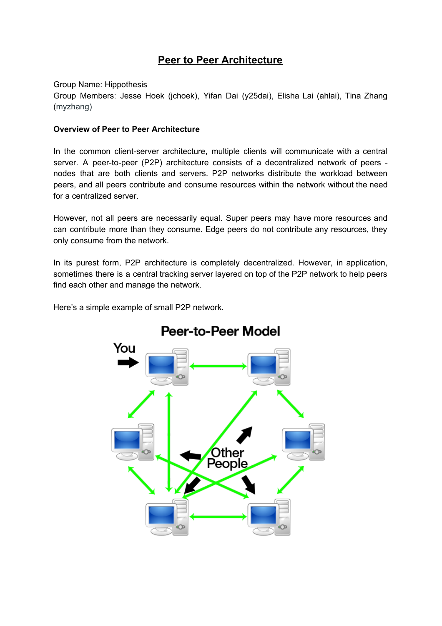# **Peer to Peer Architecture**

Group Name: Hippothesis

Group Members: Jesse Hoek (jchoek), Yifan Dai (y25dai), Elisha Lai (ahlai), Tina Zhang (myzhang)

#### **Overview of Peer to Peer Architecture**

In the common client-server architecture, multiple clients will communicate with a central server. A peer-to-peer (P2P) architecture consists of a decentralized network of peers nodes that are both clients and servers. P2P networks distribute the workload between peers, and all peers contribute and consume resources within the network without the need for a centralized server.

However, not all peers are necessarily equal. Super peers may have more resources and can contribute more than they consume. Edge peers do not contribute any resources, they only consume from the network.

In its purest form, P2P architecture is completely decentralized. However, in application, sometimes there is a central tracking server layered on top of the P2P network to help peers find each other and manage the network.

Here's a simple example of small P2P network.



# **Peer-to-Peer Model**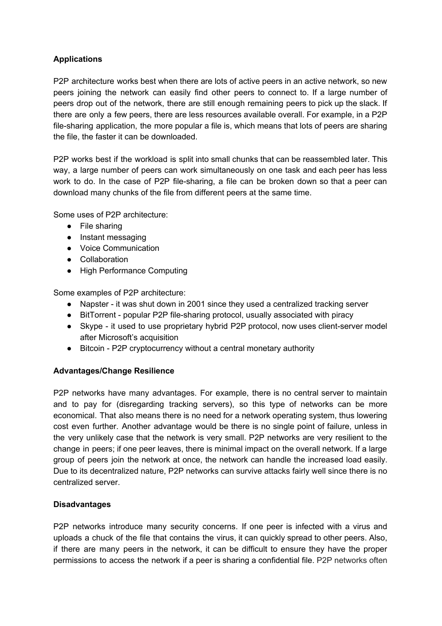# **Applications**

P2P architecture works best when there are lots of active peers in an active network, so new peers joining the network can easily find other peers to connect to. If a large number of peers drop out of the network, there are still enough remaining peers to pick up the slack. If there are only a few peers, there are less resources available overall. For example, in a P2P file-sharing application, the more popular a file is, which means that lots of peers are sharing the file, the faster it can be downloaded.

P2P works best if the workload is split into small chunks that can be reassembled later. This way, a large number of peers can work simultaneously on one task and each peer has less work to do. In the case of P2P file-sharing, a file can be broken down so that a peer can download many chunks of the file from different peers at the same time.

Some uses of P2P architecture:

- File sharing
- Instant messaging
- Voice Communication
- Collaboration
- High Performance Computing

Some examples of P2P architecture:

- Napster it was shut down in 2001 since they used a centralized tracking server
- BitTorrent popular P2P file-sharing protocol, usually associated with piracy
- Skype it used to use proprietary hybrid P2P protocol, now uses client-server model after Microsoft's acquisition
- Bitcoin P2P cryptocurrency without a central monetary authority

## **Advantages/Change Resilience**

P2P networks have many advantages. For example, there is no central server to maintain and to pay for (disregarding tracking servers), so this type of networks can be more economical. That also means there is no need for a network operating system, thus lowering cost even further. Another advantage would be there is no single point of failure, unless in the very unlikely case that the network is very small. P2P networks are very resilient to the change in peers; if one peer leaves, there is minimal impact on the overall network. If a large group of peers join the network at once, the network can handle the increased load easily. Due to its decentralized nature, P2P networks can survive attacks fairly well since there is no centralized server.

## **Disadvantages**

P2P networks introduce many security concerns. If one peer is infected with a virus and uploads a chuck of the file that contains the virus, it can quickly spread to other peers. Also, if there are many peers in the network, it can be difficult to ensure they have the proper permissions to access the network if a peer is sharing a confidential file. P2P networks often